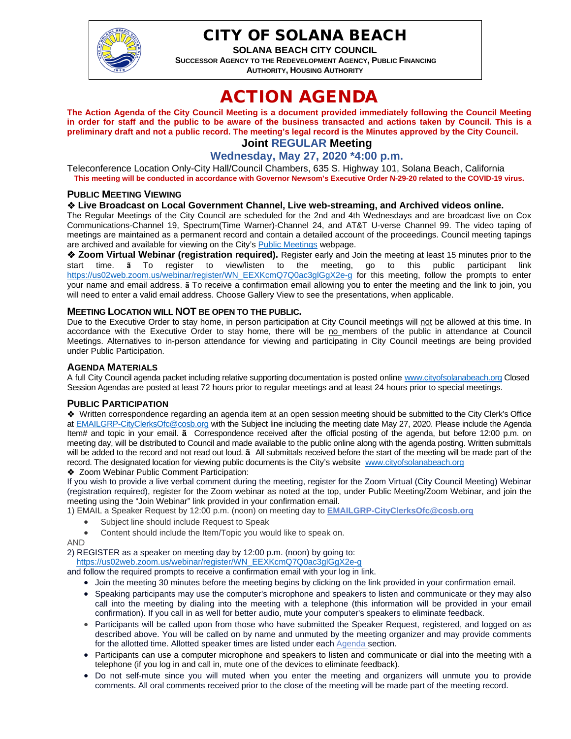

## CITY OF SOLANA BEACH

**SOLANA BEACH CITY COUNCIL SUCCESSOR AGENCY TO THE REDEVELOPMENT AGENCY, PUBLIC FINANCING AUTHORITY, HOUSING AUTHORITY** 

# ACTION AGENDA

**The Action Agenda of the City Council Meeting is a document provided immediately following the Council Meeting in order for staff and the public to be aware of the business transacted and actions taken by Council. This is a preliminary draft and not a public record. The meeting's legal record is the Minutes approved by the City Council. Joint REGULAR Meeting**

## **Wednesday, May 27, 2020 \*4:00 p.m.**

Teleconference Location Only-City Hall/Council Chambers, 635 S. Highway 101, Solana Beach, California **This meeting will be conducted in accordance with Governor Newsom's Executive Order N-29-20 related to the COVID-19 virus.**

#### **PUBLIC MEETING VIEWING**

#### **Live Broadcast on Local Government Channel, Live web-streaming, and Archived videos online.**

The Regular Meetings of the City Council are scheduled for the 2nd and 4th Wednesdays and are broadcast live on Cox Communications-Channel 19, Spectrum(Time Warner)-Channel 24, and AT&T U-verse Channel 99. The video taping of meetings are maintained as a permanent record and contain a detailed account of the proceedings. Council meeting tapings are archived and available for viewing on the City's **Public Meetings** webpage.

 $\triangle$  **Zoom Virtual Webinar (registration required).** Register early and Join the meeting at least 15 minutes prior to the start time. **ã** To register to view/listen to the meeting, go to this public participant link [https://us02web.zoom.us/webinar/register/WN\\_EEXKcmQ7Q0ac3glGgX2e-g](https://us02web.zoom.us/webinar/register/WN_EEXKcmQ7Q0ac3glGgX2e-g) for this meeting, follow the prompts to enter your name and email address. **ã** To receive a confirmation email allowing you to enter the meeting and the link to join, you will need to enter a valid email address. Choose Gallery View to see the presentations, when applicable.

#### **MEETING LOCATION WILL NOT BE OPEN TO THE PUBLIC.**

Due to the Executive Order to stay home, in person participation at City Council meetings will not be allowed at this time. In accordance with the Executive Order to stay home, there will be no members of the public in attendance at Council Meetings. Alternatives to in-person attendance for viewing and participating in City Council meetings are being provided under Public Participation.

#### **AGENDA MATERIALS**

A full City Council agenda packet including relative supporting documentation is posted online [www.cityofsolanabeach.org](https://urldefense.proofpoint.com/v2/url?u=http-3A__www.cityofsolanabeach.org&d=DwQFAg&c=euGZstcaTDllvimEN8b7jXrwqOf-v5A_CdpgnVfiiMM&r=1XAsCUuqwK_tji2t0s1uIQ&m=wny2RVfZJ2tN24LkqZmkUWNpwL_peNtTZUBlTBZiMM4&s=6ATguqxJUOD7VVtloplAbyuyNaVcEh6Fl4q1iw55lCY&e=) Closed Session Agendas are posted at least 72 hours prior to regular meetings and at least 24 hours prior to special meetings.

#### **PUBLIC PARTICIPATION**

Written correspondence regarding an agenda item at an open session meeting should be submitted to the City Clerk's Office a[t EMAILGRP-CityClerksOfc@cosb.org](mailto:EMAILGRP-CityClerksOfc@cosb.org) with the Subject line including the meeting date May 27, 2020. Please include the Agenda Item# and topic in your email. **ã** Correspondence received after the official posting of the agenda, but before 12:00 p.m. on meeting day, will be distributed to Council and made available to the public online along with the agenda posting. Written submittals will be added to the record and not read out loud. **ã** All submittals received before the start of the meeting will be made part of the record. The designated location for viewing public documents is the City's website [www.cityofsolanabeach.org](http://www.cityofsolanabeach.org/)

◆ Zoom Webinar Public Comment Participation:

If you wish to provide a live verbal comment during the meeting, register for the Zoom Virtual (City Council Meeting) Webinar (registration required), register for the Zoom webinar as noted at the top, under Public Meeting/Zoom Webinar, and join the meeting using the "Join Webinar" link provided in your confirmation email.

1) EMAIL a Speaker Request by 12:00 p.m. (noon) on meeting day to **[EMAILGRP-CityClerksOfc@cosb.org](mailto:EMAILGRP-CityClerksOfc@cosb.org)**

- Subject line should include Request to Speak
- Content should include the Item/Topic you would like to speak on.

AND

2) REGISTER as a speaker on meeting day by 12:00 p.m. (noon) by going to:

[https://us02web.zoom.us/webinar/register/WN\\_EEXKcmQ7Q0ac3glGgX2e-g](https://urldefense.proofpoint.com/v2/url?u=https-3A__us02web.zoom.us_webinar_register_WN-5FEEXKcmQ7Q0ac3glGgX2e-2Dg&d=DwQFaQ&c=euGZstcaTDllvimEN8b7jXrwqOf-v5A_CdpgnVfiiMM&r=1XAsCUuqwK_tji2t0s1uIQ&m=C7WzXfOw2_nkEFMJClT55zZsF4tmIf_7KTn0o1WpYqI&s=2rlf5nL-01mmuD0HQ3CRQ0-Fqagmq-mK59I9Lyrggac&e=)

and follow the required prompts to receive a confirmation email with your log in link.

- Join the meeting 30 minutes before the meeting begins by clicking on the link provided in your confirmation email.
- Speaking participants may use the computer's microphone and speakers to listen and communicate or they may also call into the meeting by dialing into the meeting with a telephone (this information will be provided in your email confirmation). If you call in as well for better audio, mute your computer's speakers to eliminate feedback.
- Participants will be called upon from those who have submitted the Speaker Request, registered, and logged on as described above. You will be called on by name and unmuted by the meeting organizer and may provide comments for the allotted time. Allotted speaker times are listed under each [Agenda s](https://urldefense.proofpoint.com/v2/url?u=https-3A__www.ci.solana-2Dbeach.ca.us_index.asp-3FSEC-3DF0F1200D-2D21C6-2D4A88-2D8AE1-2D0BC07C1A81A7-26Type-3DB-5FBASIC&d=DwMFaQ&c=euGZstcaTDllvimEN8b7jXrwqOf-v5A_CdpgnVfiiMM&r=1XAsCUuqwK_tji2t0s1uIQ&m=C7WzXfOw2_nkEFMJClT55zZsF4tmIf_7KTn0o1WpYqI&s=3DcsWExM2_nx_xpvFtXslUjphiXd0MDCCF18y_Qy5yU&e=)ection.
- Participants can use a computer microphone and speakers to listen and communicate or dial into the meeting with a telephone (if you log in and call in, mute one of the devices to eliminate feedback).
- Do not self-mute since you will muted when you enter the meeting and organizers will unmute you to provide comments. All oral comments received prior to the close of the meeting will be made part of the meeting record.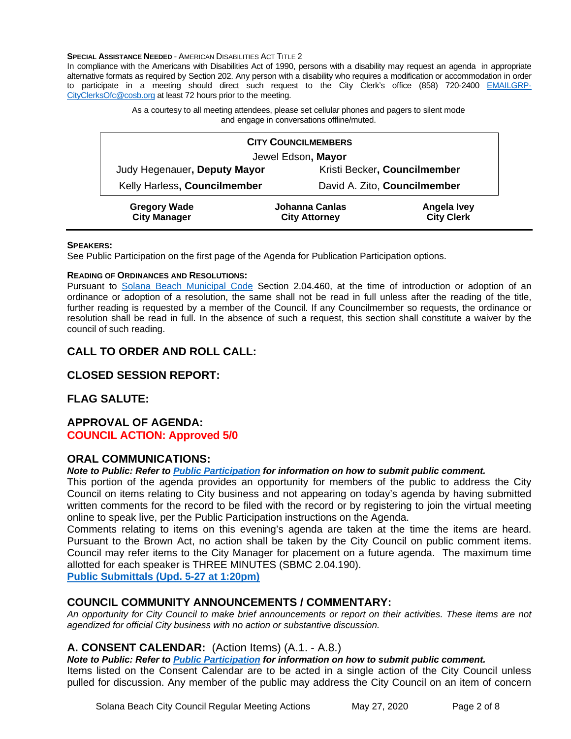#### **SPECIAL ASSISTANCE NEEDED - AMERICAN DISABILITIES ACT TITLE 2**

In compliance with the Americans with Disabilities Act of 1990, persons with a disability may request an agenda in appropriate alternative formats as required by Section 202. Any person with a disability who requires a modification or accommodation in order to participate in a meeting should direct such request to the City Clerk's office (858) 720-2400 [EMAILGRP-](mailto:EMAILGRP-CityClerksOfc@cosb.org)[CityClerksOfc@cosb.org](mailto:EMAILGRP-CityClerksOfc@cosb.org) at least 72 hours prior to the meeting.

> As a courtesy to all meeting attendees, please set cellular phones and pagers to silent mode and engage in conversations offline/muted.

| <b>CITY COUNCILMEMBERS</b>                 |                                               |                                  |
|--------------------------------------------|-----------------------------------------------|----------------------------------|
| Jewel Edson, Mayor                         |                                               |                                  |
| Judy Hegenauer, Deputy Mayor               | Kristi Becker, Councilmember                  |                                  |
| Kelly Harless, Councilmember               | David A. Zito, Councilmember                  |                                  |
| <b>Gregory Wade</b><br><b>City Manager</b> | <b>Johanna Canlas</b><br><b>City Attorney</b> | Angela Ivey<br><b>City Clerk</b> |

#### **SPEAKERS:**

See Public Participation on the first page of the Agenda for Publication Participation options.

#### **READING OF ORDINANCES AND RESOLUTIONS:**

Pursuant to [Solana Beach Municipal Code](mailto:https://www.codepublishing.com/CA/SolanaBeach/) Section 2.04.460, at the time of introduction or adoption of an ordinance or adoption of a resolution, the same shall not be read in full unless after the reading of the title, further reading is requested by a member of the Council. If any Councilmember so requests, the ordinance or resolution shall be read in full. In the absence of such a request, this section shall constitute a waiver by the council of such reading.

## **CALL TO ORDER AND ROLL CALL:**

## **CLOSED SESSION REPORT:**

#### **FLAG SALUTE:**

#### **APPROVAL OF AGENDA: COUNCIL ACTION: Approved 5/0**

#### **ORAL COMMUNICATIONS:**

#### *Note to Public: Refer to Public Participation for information on how to submit public comment.*

This portion of the agenda provides an opportunity for members of the public to address the City Council on items relating to City business and not appearing on today's agenda by having submitted written comments for the record to be filed with the record or by registering to join the virtual meeting online to speak live, per the Public Participation instructions on the Agenda.

Comments relating to items on this evening's agenda are taken at the time the items are heard. Pursuant to the Brown Act, no action shall be taken by the City Council on public comment items. Council may refer items to the City Manager for placement on a future agenda. The maximum time allotted for each speaker is THREE MINUTES (SBMC 2.04.190).

**[Public Submittals \(Upd. 5-27 at 1:20pm\)](https://solanabeach.govoffice3.com/vertical/Sites/%7B840804C2-F869-4904-9AE3-720581350CE7%7D/uploads/Public_Submittals_(upd._5-27_at_120pm)_-_O.pdf)**

#### **COUNCIL COMMUNITY ANNOUNCEMENTS / COMMENTARY:**

*An opportunity for City Council to make brief announcements or report on their activities. These items are not agendized for official City business with no action or substantive discussion.* 

#### **A. CONSENT CALENDAR:** (Action Items) (A.1. - A.8.)

*Note to Public: Refer to Public Participation for information on how to submit public comment.*  Items listed on the Consent Calendar are to be acted in a single action of the City Council unless pulled for discussion. Any member of the public may address the City Council on an item of concern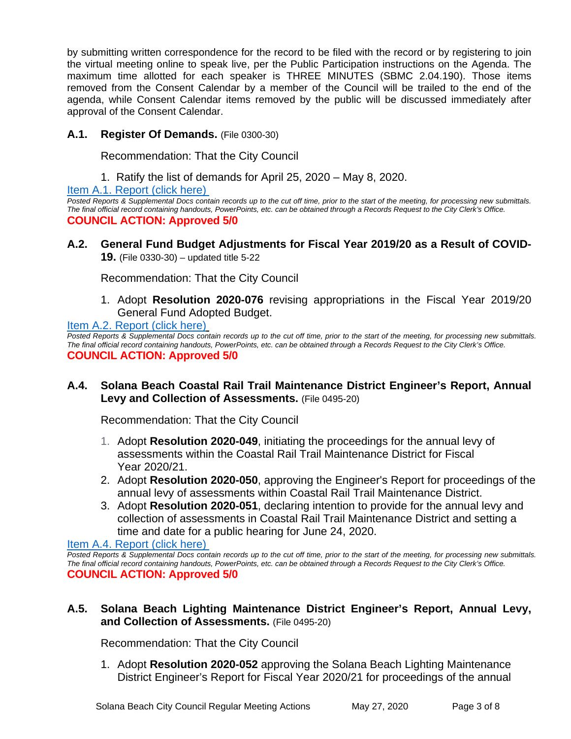by submitting written correspondence for the record to be filed with the record or by registering to join the virtual meeting online to speak live, per the Public Participation instructions on the Agenda. The maximum time allotted for each speaker is THREE MINUTES (SBMC 2.04.190). Those items removed from the Consent Calendar by a member of the Council will be trailed to the end of the agenda, while Consent Calendar items removed by the public will be discussed immediately after approval of the Consent Calendar.

## **A.1. Register Of Demands.** (File 0300-30)

Recommendation: That the City Council

1. Ratify the list of demands for April 25, 2020 – May 8, 2020.

[Item A.1. Report \(click here\)](https://solanabeach.govoffice3.com/vertical/Sites/%7B840804C2-F869-4904-9AE3-720581350CE7%7D/uploads/Item_A.1._Report_(click_here)_05-27-20_-_O.pdf) 

*Posted Reports & Supplemental Docs contain records up to the cut off time, prior to the start of the meeting, for processing new submittals. The final official record containing handouts, PowerPoints, etc. can be obtained through a Records Request to the City Clerk's Office.* **COUNCIL ACTION: Approved 5/0**

**A.2. General Fund Budget Adjustments for Fiscal Year 2019/20 as a Result of COVID-19.** (File 0330-30) – updated title 5-22

Recommendation: That the City Council

1. Adopt **Resolution 2020-076** revising appropriations in the Fiscal Year 2019/20 General Fund Adopted Budget.

[Item A.2. Report \(click here\)](https://solanabeach.govoffice3.com/vertical/Sites/%7B840804C2-F869-4904-9AE3-720581350CE7%7D/uploads/Item_A.2._Report_(click_here)_05-27-20_-_O(1).pdf)

**Posted Reports & Supplemental Docs contain records up to the cut off time, prior to the start of the meeting, for processing new submittals.** *The final official record containing handouts, PowerPoints, etc. can be obtained through a Records Request to the City Clerk's Office.* **COUNCIL ACTION: Approved 5/0**

**A.4. Solana Beach Coastal Rail Trail Maintenance District Engineer's Report, Annual Levy and Collection of Assessments.** (File 0495-20)

Recommendation: That the City Council

- 1. Adopt **Resolution 2020-049**, initiating the proceedings for the annual levy of assessments within the Coastal Rail Trail Maintenance District for Fiscal Year 2020/21.
- 2. Adopt **Resolution 2020-050**, approving the Engineer's Report for proceedings of the annual levy of assessments within Coastal Rail Trail Maintenance District.
- 3. Adopt **Resolution 2020-051**, declaring intention to provide for the annual levy and collection of assessments in Coastal Rail Trail Maintenance District and setting a time and date for a public hearing for June 24, 2020.

#### [Item A.4. Report \(click here\)](https://solanabeach.govoffice3.com/vertical/Sites/%7B840804C2-F869-4904-9AE3-720581350CE7%7D/uploads/Item_A.4._Report_(click_here)_05-27-20.pdf)

*Posted Reports & Supplemental Docs contain records up to the cut off time, prior to the start of the meeting, for processing new submittals. The final official record containing handouts, PowerPoints, etc. can be obtained through a Records Request to the City Clerk's Office.* **COUNCIL ACTION: Approved 5/0**

## **A.5. Solana Beach Lighting Maintenance District Engineer's Report, Annual Levy, and Collection of Assessments.** (File 0495-20)

Recommendation: That the City Council

1. Adopt **Resolution 2020-052** approving the Solana Beach Lighting Maintenance District Engineer's Report for Fiscal Year 2020/21 for proceedings of the annual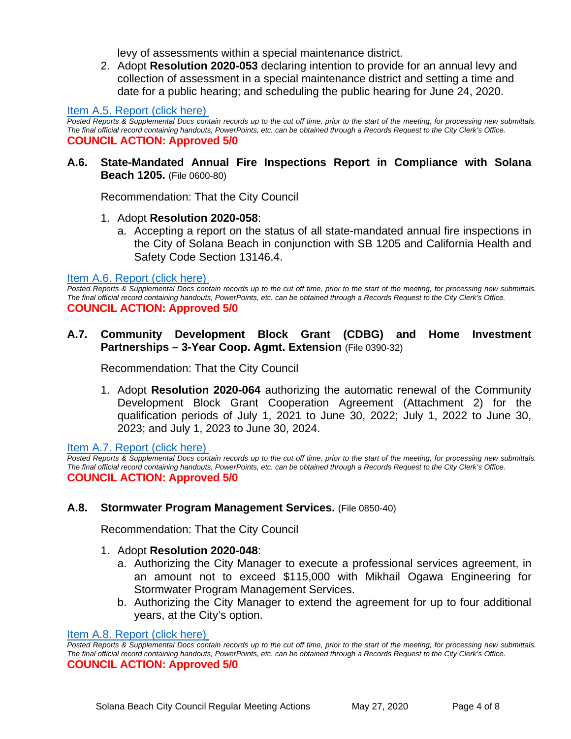levy of assessments within a special maintenance district.

2. Adopt **Resolution 2020-053** declaring intention to provide for an annual levy and collection of assessment in a special maintenance district and setting a time and date for a public hearing; and scheduling the public hearing for June 24, 2020.

#### [Item A.5. Report \(click here\)](https://solanabeach.govoffice3.com/vertical/Sites/%7B840804C2-F869-4904-9AE3-720581350CE7%7D/uploads/Item_A.5._Report_(click_here)_05-27-20_-_O.pdf)

*Posted Reports & Supplemental Docs contain records up to the cut off time, prior to the start of the meeting, for processing new submittals. The final official record containing handouts, PowerPoints, etc. can be obtained through a Records Request to the City Clerk's Office.* **COUNCIL ACTION: Approved 5/0**

#### **A.6. State-Mandated Annual Fire Inspections Report in Compliance with Solana Beach 1205.** (File 0600-80)

Recommendation: That the City Council

#### 1. Adopt **Resolution 2020-058**:

a. Accepting a report on the status of all state-mandated annual fire inspections in the City of Solana Beach in conjunction with SB 1205 and California Health and Safety Code Section 13146.4.

#### [Item A.6. Report \(click here\)](https://solanabeach.govoffice3.com/vertical/Sites/%7B840804C2-F869-4904-9AE3-720581350CE7%7D/uploads/Item_A.6._Report_(click_here)_05-27-20_-_O.pdf)

*Posted Reports & Supplemental Docs contain records up to the cut off time, prior to the start of the meeting, for processing new submittals. The final official record containing handouts, PowerPoints, etc. can be obtained through a Records Request to the City Clerk's Office.* **COUNCIL ACTION: Approved 5/0**

#### **A.7. Community Development Block Grant (CDBG) and Home Investment Partnerships – 3-Year Coop. Agmt. Extension** (File 0390-32)

Recommendation: That the City Council

1. Adopt **Resolution 2020-064** authorizing the automatic renewal of the Community Development Block Grant Cooperation Agreement (Attachment 2) for the qualification periods of July 1, 2021 to June 30, 2022; July 1, 2022 to June 30, 2023; and July 1, 2023 to June 30, 2024.

[Item A.7. Report \(click here\)](https://solanabeach.govoffice3.com/vertical/Sites/%7B840804C2-F869-4904-9AE3-720581350CE7%7D/uploads/Item_A.7._Report_(click_here)_05-27-20_-_O.pdf) 

*Posted Reports & Supplemental Docs contain records up to the cut off time, prior to the start of the meeting, for processing new submittals. The final official record containing handouts, PowerPoints, etc. can be obtained through a Records Request to the City Clerk's Office.* **COUNCIL ACTION: Approved 5/0**

#### **A.8. Stormwater Program Management Services.** (File 0850-40)

Recommendation: That the City Council

#### 1. Adopt **Resolution 2020-048**:

- a. Authorizing the City Manager to execute a professional services agreement, in an amount not to exceed \$115,000 with Mikhail Ogawa Engineering for Stormwater Program Management Services.
- b. Authorizing the City Manager to extend the agreement for up to four additional years, at the City's option.

#### [Item A.8. Report \(click here\)](https://solanabeach.govoffice3.com/vertical/Sites/%7B840804C2-F869-4904-9AE3-720581350CE7%7D/uploads/Item_A.8._Report_(click_here)_05-27-20_-_O.pdf)

*Posted Reports & Supplemental Docs contain records up to the cut off time, prior to the start of the meeting, for processing new submittals. The final official record containing handouts, PowerPoints, etc. can be obtained through a Records Request to the City Clerk's Office.* **COUNCIL ACTION: Approved 5/0**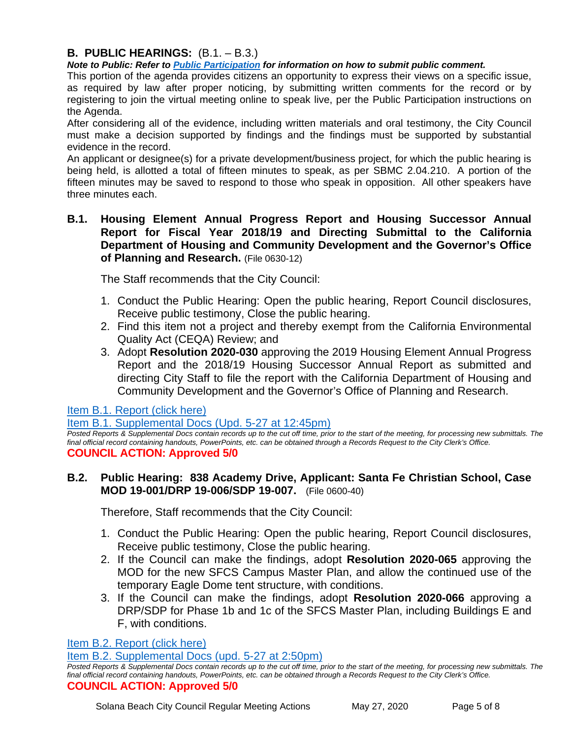## **B. PUBLIC HEARINGS:** (B.1. – B.3.)

*Note to Public: Refer to Public Participation for information on how to submit public comment.* 

This portion of the agenda provides citizens an opportunity to express their views on a specific issue, as required by law after proper noticing, by submitting written comments for the record or by registering to join the virtual meeting online to speak live, per the Public Participation instructions on the Agenda.

After considering all of the evidence, including written materials and oral testimony, the City Council must make a decision supported by findings and the findings must be supported by substantial evidence in the record.

An applicant or designee(s) for a private development/business project, for which the public hearing is being held, is allotted a total of fifteen minutes to speak, as per SBMC 2.04.210. A portion of the fifteen minutes may be saved to respond to those who speak in opposition. All other speakers have three minutes each.

#### **B.1. Housing Element Annual Progress Report and Housing Successor Annual Report for Fiscal Year 2018/19 and Directing Submittal to the California Department of Housing and Community Development and the Governor's Office of Planning and Research.** (File 0630-12)

The Staff recommends that the City Council:

- 1. Conduct the Public Hearing: Open the public hearing, Report Council disclosures, Receive public testimony, Close the public hearing.
- 2. Find this item not a project and thereby exempt from the California Environmental Quality Act (CEQA) Review; and
- 3. Adopt **Resolution 2020-030** approving the 2019 Housing Element Annual Progress Report and the 2018/19 Housing Successor Annual Report as submitted and directing City Staff to file the report with the California Department of Housing and Community Development and the Governor's Office of Planning and Research.

[Item B.1. Report \(click here\)](https://solanabeach.govoffice3.com/vertical/Sites/%7B840804C2-F869-4904-9AE3-720581350CE7%7D/uploads/Item_B.1._Report_(click_here)_05-27-20_-_O_2.pdf)

[Item B.1. Supplemental Docs \(Upd. 5-27 at 12:45pm\)](https://solanabeach.govoffice3.com/vertical/Sites/%7B840804C2-F869-4904-9AE3-720581350CE7%7D/uploads/Item_B.1._Supplemental_Docs_(upd._5-27_at_1245pm)_-_O.pdf)

Posted Reports & Supplemental Docs contain records up to the cut off time, prior to the start of the meeting, for processing new submittals. The *final official record containing handouts, PowerPoints, etc. can be obtained through a Records Request to the City Clerk's Office.* **COUNCIL ACTION: Approved 5/0**

#### **B.2. Public Hearing: 838 Academy Drive, Applicant: Santa Fe Christian School, Case MOD 19-001/DRP 19-006/SDP 19-007.** (File 0600-40)

Therefore, Staff recommends that the City Council:

- 1. Conduct the Public Hearing: Open the public hearing, Report Council disclosures, Receive public testimony, Close the public hearing.
- 2. If the Council can make the findings, adopt **Resolution 2020-065** approving the MOD for the new SFCS Campus Master Plan, and allow the continued use of the temporary Eagle Dome tent structure, with conditions.
- 3. If the Council can make the findings, adopt **Resolution 2020-066** approving a DRP/SDP for Phase 1b and 1c of the SFCS Master Plan, including Buildings E and F, with conditions.

[Item B.2. Report \(click here\)](https://www.dropbox.com/sh/ja0ncia1h1cywtk/AAAqBExKQ07yiqaPWy4pwqbOa?dl=0&preview=Item+B.2.+Report+(click+here)+05-27-20+-+O.pdf)

[Item B.2. Supplemental Docs \(upd. 5-27 at 2:50pm\)](https://solanabeach.govoffice3.com/vertical/Sites/%7B840804C2-F869-4904-9AE3-720581350CE7%7D/uploads/Item_B.2._Supplemental_Docs_(updated_5-27_at_250pm)_-_O.pdf)

*Posted Reports & Supplemental Docs contain records up to the cut off time, prior to the start of the meeting, for processing new submittals. The final official record containing handouts, PowerPoints, etc. can be obtained through a Records Request to the City Clerk's Office.* **COUNCIL ACTION: Approved 5/0**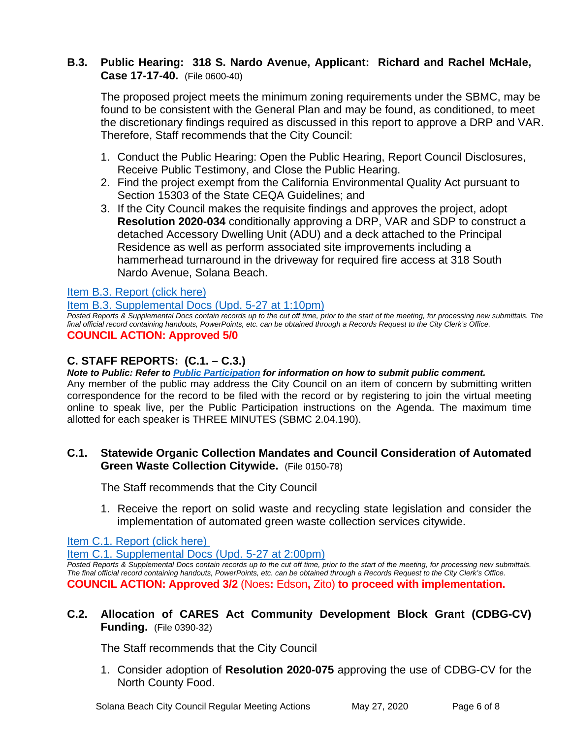## **B.3. Public Hearing: 318 S. Nardo Avenue, Applicant: Richard and Rachel McHale, Case 17-17-40.** (File 0600-40)

The proposed project meets the minimum zoning requirements under the SBMC, may be found to be consistent with the General Plan and may be found, as conditioned, to meet the discretionary findings required as discussed in this report to approve a DRP and VAR. Therefore, Staff recommends that the City Council:

- 1. Conduct the Public Hearing: Open the Public Hearing, Report Council Disclosures, Receive Public Testimony, and Close the Public Hearing.
- 2. Find the project exempt from the California Environmental Quality Act pursuant to Section 15303 of the State CEQA Guidelines; and
- 3. If the City Council makes the requisite findings and approves the project, adopt **Resolution 2020-034** conditionally approving a DRP, VAR and SDP to construct a detached Accessory Dwelling Unit (ADU) and a deck attached to the Principal Residence as well as perform associated site improvements including a hammerhead turnaround in the driveway for required fire access at 318 South Nardo Avenue, Solana Beach.

## [Item B.3. Report \(click here\)](https://solanabeach.govoffice3.com/vertical/Sites/%7B840804C2-F869-4904-9AE3-720581350CE7%7D/uploads/Item_B.3._Report_(click_here)_05-27-20_-_Reduced(1).pdf)

[Item B.3. Supplemental Docs \(Upd. 5-27 at 1:10pm\)](https://solanabeach.govoffice3.com/vertical/Sites/%7B840804C2-F869-4904-9AE3-720581350CE7%7D/uploads/Item_B.3._Supplemental_Docs_(upd._5-27_at_110pm)_-_O.pdf)

*Posted Reports & Supplemental Docs contain records up to the cut off time, prior to the start of the meeting, for processing new submittals. The final official record containing handouts, PowerPoints, etc. can be obtained through a Records Request to the City Clerk's Office.* **COUNCIL ACTION: Approved 5/0**

## **C. STAFF REPORTS: (C.1. – C.3.)**

*Note to Public: Refer to Public Participation for information on how to submit public comment.* 

Any member of the public may address the City Council on an item of concern by submitting written correspondence for the record to be filed with the record or by registering to join the virtual meeting online to speak live, per the Public Participation instructions on the Agenda. The maximum time allotted for each speaker is THREE MINUTES (SBMC 2.04.190).

## **C.1. Statewide Organic Collection Mandates and Council Consideration of Automated Green Waste Collection Citywide.** (File 0150-78)

The Staff recommends that the City Council

1. Receive the report on solid waste and recycling state legislation and consider the implementation of automated green waste collection services citywide.

[Item C.1. Report \(click here\)](https://solanabeach.govoffice3.com/vertical/Sites/%7B840804C2-F869-4904-9AE3-720581350CE7%7D/uploads/Item_C.1._Report_(click_here)_05-27-20_-_R_-_O.pdf) 

[Item C.1. Supplemental Docs \(Upd. 5-27 at 2:00pm\)](https://solanabeach.govoffice3.com/vertical/Sites/%7B840804C2-F869-4904-9AE3-720581350CE7%7D/uploads/Item_C.1._Supplemental_Docs_(upd._5-27_at_200pm)_-_O.pdf)

*Posted Reports & Supplemental Docs contain records up to the cut off time, prior to the start of the meeting, for processing new submittals. The final official record containing handouts, PowerPoints, etc. can be obtained through a Records Request to the City Clerk's Office.* **COUNCIL ACTION: Approved 3/2** (Noes**:** Edson**,** Zito) **to proceed with implementation.** 

## **C.2. Allocation of CARES Act Community Development Block Grant (CDBG-CV) Funding.** (File 0390-32)

The Staff recommends that the City Council

1. Consider adoption of **Resolution 2020-075** approving the use of CDBG-CV for the North County Food.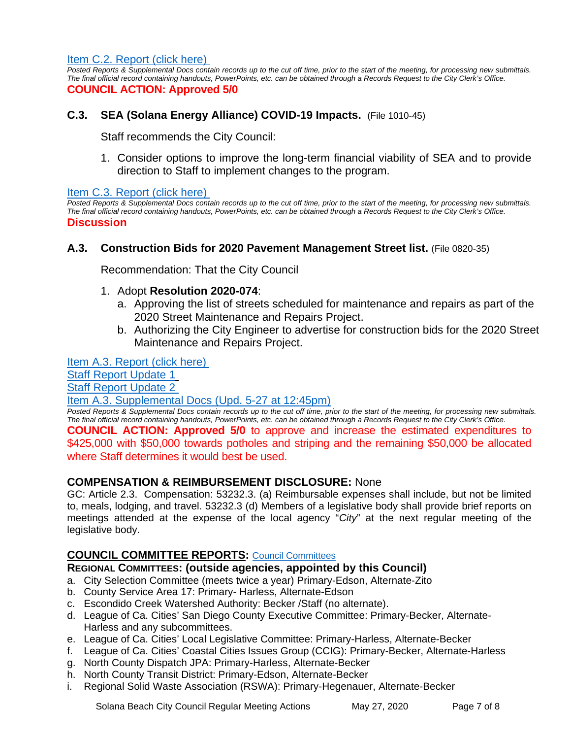[Item C.2. Report \(click here\)](https://solanabeach.govoffice3.com/vertical/Sites/%7B840804C2-F869-4904-9AE3-720581350CE7%7D/uploads/Item_C.2._Report_(click_here)_05-27-20_-_O.pdf) 

*Posted Reports & Supplemental Docs contain records up to the cut off time, prior to the start of the meeting, for processing new submittals. The final official record containing handouts, PowerPoints, etc. can be obtained through a Records Request to the City Clerk's Office.* **COUNCIL ACTION: Approved 5/0**

#### **C.3. SEA (Solana Energy Alliance) COVID-19 Impacts.** (File 1010-45)

Staff recommends the City Council:

1. Consider options to improve the long-term financial viability of SEA and to provide direction to Staff to implement changes to the program.

[Item C.3. Report \(click here\)](https://solanabeach.govoffice3.com/vertical/Sites/%7B840804C2-F869-4904-9AE3-720581350CE7%7D/uploads/Item_C.3._Report_(click_here)_05-27-20_-_O.pdf) 

*Posted Reports & Supplemental Docs contain records up to the cut off time, prior to the start of the meeting, for processing new submittals. The final official record containing handouts, PowerPoints, etc. can be obtained through a Records Request to the City Clerk's Office.* **Discussion**

#### **A.3. Construction Bids for 2020 Pavement Management Street list.** (File 0820-35)

Recommendation: That the City Council

#### 1. Adopt **Resolution 2020-074**:

- a. Approving the list of streets scheduled for maintenance and repairs as part of the 2020 Street Maintenance and Repairs Project.
- b. Authorizing the City Engineer to advertise for construction bids for the 2020 Street Maintenance and Repairs Project.

[Item A.3. Report \(click here\)](https://solanabeach.govoffice3.com/vertical/Sites/%7B840804C2-F869-4904-9AE3-720581350CE7%7D/uploads/Item_A.3._Report_(click_here)_05-27-20)_-_O.pdf) 

[Staff Report Update 1](https://solanabeach.govoffice3.com/vertical/Sites/%7B840804C2-F869-4904-9AE3-720581350CE7%7D/uploads/A.3._Staff_Report_Update_1.pdf)

[Staff Report Update](https://solanabeach.govoffice3.com/vertical/Sites/%7B840804C2-F869-4904-9AE3-720581350CE7%7D/uploads/A.3._Staff_Report_Update_2_(Upd._5-27_at_250pm)_-_O.pdf) 2

#### [Item A.3. Supplemental Docs \(Upd. 5-27 at 12:45pm\)](https://solanabeach.govoffice3.com/vertical/Sites/%7B840804C2-F869-4904-9AE3-720581350CE7%7D/uploads/Item_A.3._Supplemental_Docs_(upd._5-27_at_1245pm)_-_O.pdf)

*Posted Reports & Supplemental Docs contain records up to the cut off time, prior to the start of the meeting, for processing new submittals. The final official record containing handouts, PowerPoints, etc. can be obtained through a Records Request to the City Clerk's Office.*

**COUNCIL ACTION: Approved 5/0** to approve and increase the estimated expenditures to \$425,000 with \$50,000 towards potholes and striping and the remaining \$50,000 be allocated where Staff determines it would best be used.

#### **COMPENSATION & REIMBURSEMENT DISCLOSURE:** None

GC: Article 2.3. Compensation: 53232.3. (a) Reimbursable expenses shall include, but not be limited to, meals, lodging, and travel. 53232.3 (d) Members of a legislative body shall provide brief reports on meetings attended at the expense of the local agency "*City*" at the next regular meeting of the legislative body.

#### **COUNCIL COMMITTEE REPORTS:** [Council Committees](https://www.ci.solana-beach.ca.us/index.asp?SEC=584E1192-3850-46EA-B977-088AC3E81E0D&Type=B_BASIC)

#### **REGIONAL COMMITTEES: (outside agencies, appointed by this Council)**

- a. City Selection Committee (meets twice a year) Primary-Edson, Alternate-Zito
- b. County Service Area 17: Primary- Harless, Alternate-Edson
- c. Escondido Creek Watershed Authority: Becker /Staff (no alternate).
- d. League of Ca. Cities' San Diego County Executive Committee: Primary-Becker, Alternate-Harless and any subcommittees.
- e. League of Ca. Cities' Local Legislative Committee: Primary-Harless, Alternate-Becker
- f. League of Ca. Cities' Coastal Cities Issues Group (CCIG): Primary-Becker, Alternate-Harless
- g. North County Dispatch JPA: Primary-Harless, Alternate-Becker
- h. North County Transit District: Primary-Edson, Alternate-Becker
- i. Regional Solid Waste Association (RSWA): Primary-Hegenauer, Alternate-Becker